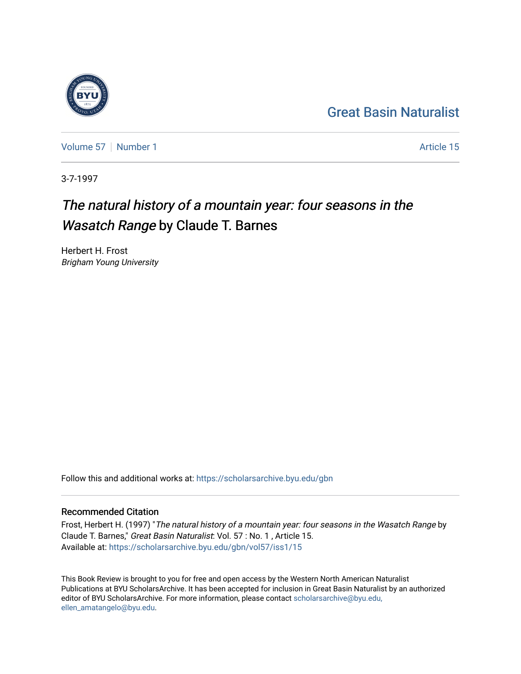### [Great Basin Naturalist](https://scholarsarchive.byu.edu/gbn)

[Volume 57](https://scholarsarchive.byu.edu/gbn/vol57) [Number 1](https://scholarsarchive.byu.edu/gbn/vol57/iss1) Article 15

3-7-1997

### The natural history of a mountain year: four seasons in the Wasatch Range by Claude T. Barnes

Herbert H. Frost Brigham Young University

Follow this and additional works at: [https://scholarsarchive.byu.edu/gbn](https://scholarsarchive.byu.edu/gbn?utm_source=scholarsarchive.byu.edu%2Fgbn%2Fvol57%2Fiss1%2F15&utm_medium=PDF&utm_campaign=PDFCoverPages) 

#### Recommended Citation

Frost, Herbert H. (1997) "The natural history of a mountain year: four seasons in the Wasatch Range by Claude T. Barnes," Great Basin Naturalist: Vol. 57 : No. 1 , Article 15. Available at: [https://scholarsarchive.byu.edu/gbn/vol57/iss1/15](https://scholarsarchive.byu.edu/gbn/vol57/iss1/15?utm_source=scholarsarchive.byu.edu%2Fgbn%2Fvol57%2Fiss1%2F15&utm_medium=PDF&utm_campaign=PDFCoverPages) 

This Book Review is brought to you for free and open access by the Western North American Naturalist Publications at BYU ScholarsArchive. It has been accepted for inclusion in Great Basin Naturalist by an authorized editor of BYU ScholarsArchive. For more information, please contact [scholarsarchive@byu.edu,](mailto:scholarsarchive@byu.edu,%20ellen_amatangelo@byu.edu) [ellen\\_amatangelo@byu.edu](mailto:scholarsarchive@byu.edu,%20ellen_amatangelo@byu.edu).

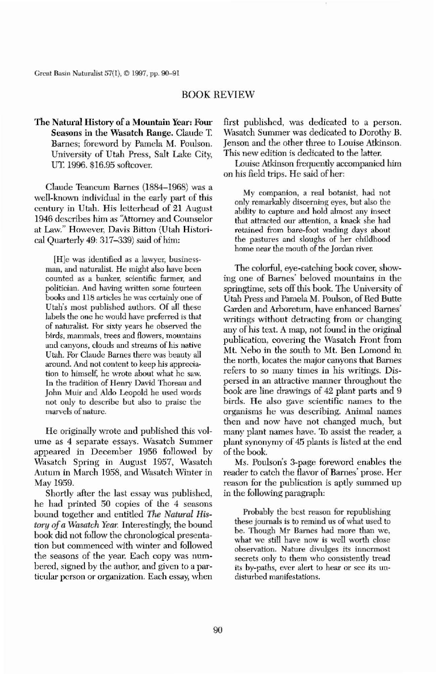The Natural History of a Mountain Year: Four Seasons in the Wasatch Range. Claude T Barnes; foreword by Pamela M. Poulson. University of Utah Press, Salt Lake City, UT. 1996. \$16.95 softcover.

Great Basin Naturalist 57(1), © 1997, pp. 90–91

## BOOK REVIEW

Claude Teancum Barnes (1884-1968) was a well-known individual in the early part of this century in Utah. His letterhead of 21 August 1946 describes him as 'Attorney and Counselor at Law." However. Davis Bitton (Utah Historical Quarterly 49: 317-339) said of him:

[H]e was identified as a lawyer, businessman, and naturalist. He might also bave been counted as a banker, scientific fanner, and politician. And having written some fourteen books and 118 articles he was certainly one of Utah's most published authors. Of all these labels the one he would have preferred is that of naturalist. For sixty years he observed the birds, mammals, trees and flowers, mountains and canyons, clouds and streams of his native Utah. For Claude Barnes there was beauty all around. And not content to keep his appreciation to himself, he wrote about what he saw. In the tradition of Henry David Thoreau and John Muir and Aldo Leopold he used words not only to describe but also to praise the marvels of nature.

The colorful, eye-catching book cover, showing one of Barnes' beloved mountains in the springtime, sets off this book. The University of Utah Press and Pamela M. Poulson, of Red Butte Garden and Arboretum, have enhanced Barnes' writings without detracting from or changing any of his text. A map. not found in the original publication, covering the Wasatch Front from Mt. Neba in the south to Mt. Ben Lomond in the north, locates the major canyons that Barnes refers to so many times in his writings. Dispersed in an attractive manner throughout the book are line drawings of 42 plant parts and 9 birds. He also gave scientific names to the organisms he was describing. Animal names then and now have not changed much, but many plant names have. To assist the reader, a plant synonymy of 45 plants is listed at the end of the book. Ms. Poulson's 3-page foreword enables the reader to catch the flavor of Barnes' prose. Her reason for the publication is aptly summed up in the following paragraph:

He originally wrote and puhlished this volume as 4 separate essays. Wasatch Summer appeared in December 1956 followed by Wasatch Spring in August 1957, Wasatch Autum in March 1958, and Wasatch Winter in May 1959.

Shortly after the last essay was published, he had printed 50 copies of the 4 seasons bound together and entitled *The Natural History of a Wasatch Year.* Interestingly, the bound book did not follow the chronological presentation but commenced with winter and followed the seasons of the year. Each copy was numbered, signed by the author. and given to a particular person or organization. Each essay, when



first published, was dedicated to a person. Wasatch Summer was dedicated to Dorothy B. Jenson and the other three to Louise Atkinson. This new edition is dedicated to the latter.

Louise Atkinson frequently accompanied him on his field trips. He said of her:

My companion, a real botanist, had not only remarkably discerning eyes, but also the ability to capture and hold almost any insect that attracted our attention, a knack she had retained from bare-foot wading days about the pastures and sloughs of her childhood home near the mouth of the Jordan river.

Probably the best reason for republishing these journals is to remind us of what used to be. Though Mr Bames had more than we, what we still have now is well worth close observation. Nature divulges its innermost secrets only to them who consistently tread its by-paths, ever alert to hear or see its undisturhed manifestations.